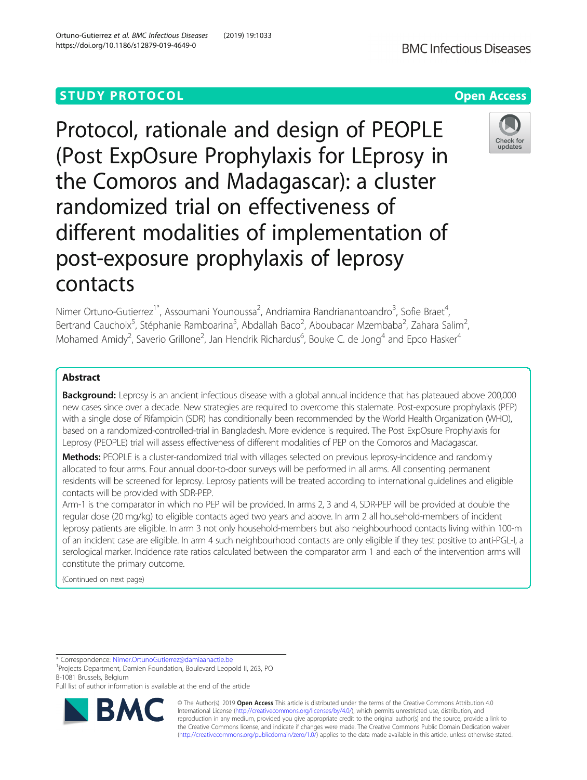# **STUDY PROTOCOL CONSUMING THE RESERVE ACCESS**

Protocol, rationale and design of PEOPLE (Post ExpOsure Prophylaxis for LEprosy in the Comoros and Madagascar): a cluster randomized trial on effectiveness of different modalities of implementation of post-exposure prophylaxis of leprosy contacts

Nimer Ortuno-Gutierrez<sup>1\*</sup>, Assoumani Younoussa<sup>2</sup>, Andriamira Randrianantoandro<sup>3</sup>, Sofie Braet<sup>4</sup> , Bertrand Cauchoix<sup>5</sup>, Stéphanie Ramboarina<sup>5</sup>, Abdallah Baco<sup>2</sup>, Aboubacar Mzembaba<sup>2</sup>, Zahara Salim<sup>2</sup> Mohamed Amidy<sup>2</sup>, Saverio Grillone<sup>2</sup>, Jan Hendrik Richardus<sup>6</sup>, Bouke C. de Jong<sup>4</sup> and Epco Hasker<sup>4</sup>

# Abstract

Background: Leprosy is an ancient infectious disease with a global annual incidence that has plateaued above 200,000 new cases since over a decade. New strategies are required to overcome this stalemate. Post-exposure prophylaxis (PEP) with a single dose of Rifampicin (SDR) has conditionally been recommended by the World Health Organization (WHO), based on a randomized-controlled-trial in Bangladesh. More evidence is required. The Post ExpOsure Prophylaxis for Leprosy (PEOPLE) trial will assess effectiveness of different modalities of PEP on the Comoros and Madagascar.

Methods: PEOPLE is a cluster-randomized trial with villages selected on previous leprosy-incidence and randomly allocated to four arms. Four annual door-to-door surveys will be performed in all arms. All consenting permanent residents will be screened for leprosy. Leprosy patients will be treated according to international guidelines and eligible contacts will be provided with SDR-PEP.

Arm-1 is the comparator in which no PEP will be provided. In arms 2, 3 and 4, SDR-PEP will be provided at double the regular dose (20 mg/kg) to eligible contacts aged two years and above. In arm 2 all household-members of incident leprosy patients are eligible. In arm 3 not only household-members but also neighbourhood contacts living within 100-m of an incident case are eligible. In arm 4 such neighbourhood contacts are only eligible if they test positive to anti-PGL-I, a serological marker. Incidence rate ratios calculated between the comparator arm 1 and each of the intervention arms will constitute the primary outcome.

(Continued on next page)

RA

\* Correspondence: [Nimer.OrtunoGutierrez@damiaanactie.be](mailto:Nimer.OrtunoGutierrez@damiaanactie.be) <sup>1</sup>

<sup>1</sup> Projects Department, Damien Foundation, Boulevard Leopold II, 263, PO B-1081 Brussels, Belgium

Full list of author information is available at the end of the article

© The Author(s). 2019 **Open Access** This article is distributed under the terms of the Creative Commons Attribution 4.0 International License [\(http://creativecommons.org/licenses/by/4.0/](http://creativecommons.org/licenses/by/4.0/)), which permits unrestricted use, distribution, and reproduction in any medium, provided you give appropriate credit to the original author(s) and the source, provide a link to the Creative Commons license, and indicate if changes were made. The Creative Commons Public Domain Dedication waiver [\(http://creativecommons.org/publicdomain/zero/1.0/](http://creativecommons.org/publicdomain/zero/1.0/)) applies to the data made available in this article, unless otherwise stated.



,

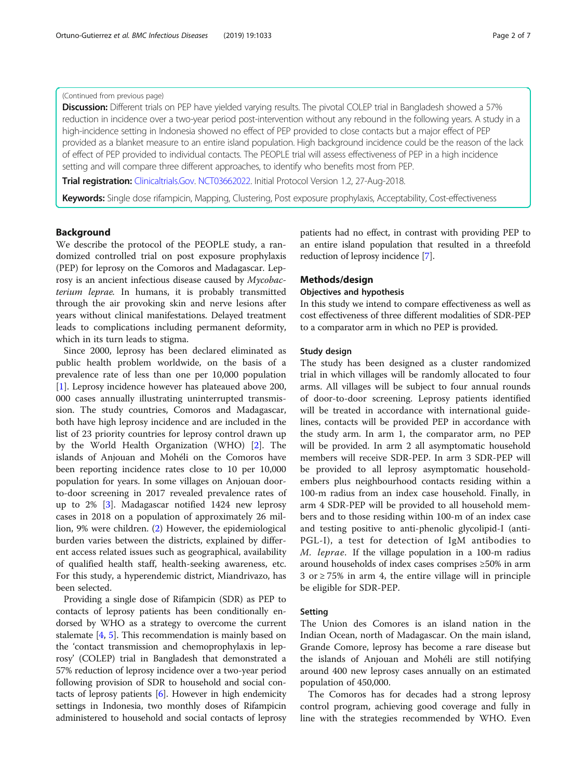# (Continued from previous page)

Discussion: Different trials on PEP have yielded varying results. The pivotal COLEP trial in Bangladesh showed a 57% reduction in incidence over a two-year period post-intervention without any rebound in the following years. A study in a high-incidence setting in Indonesia showed no effect of PEP provided to close contacts but a major effect of PEP provided as a blanket measure to an entire island population. High background incidence could be the reason of the lack of effect of PEP provided to individual contacts. The PEOPLE trial will assess effectiveness of PEP in a high incidence setting and will compare three different approaches, to identify who benefits most from PEP.

Trial registration: [Clinicaltrials.Gov](http://clinicaltrials.gov). [NCT03662022](https://clinicaltrials.gov/ct2/show/NCT03662022?cntry=KM&draw=2&rank=2). Initial Protocol Version 1.2, 27-Aug-2018.

Keywords: Single dose rifampicin, Mapping, Clustering, Post exposure prophylaxis, Acceptability, Cost-effectiveness

# Background

We describe the protocol of the PEOPLE study, a randomized controlled trial on post exposure prophylaxis (PEP) for leprosy on the Comoros and Madagascar. Leprosy is an ancient infectious disease caused by Mycobacterium leprae. In humans, it is probably transmitted through the air provoking skin and nerve lesions after years without clinical manifestations. Delayed treatment leads to complications including permanent deformity, which in its turn leads to stigma.

Since 2000, leprosy has been declared eliminated as public health problem worldwide, on the basis of a prevalence rate of less than one per 10,000 population [[1\]](#page-5-0). Leprosy incidence however has plateaued above 200, 000 cases annually illustrating uninterrupted transmission. The study countries, Comoros and Madagascar, both have high leprosy incidence and are included in the list of 23 priority countries for leprosy control drawn up by the World Health Organization (WHO) [[2\]](#page-5-0). The islands of Anjouan and Mohéli on the Comoros have been reporting incidence rates close to 10 per 10,000 population for years. In some villages on Anjouan doorto-door screening in 2017 revealed prevalence rates of up to 2% [\[3](#page-6-0)]. Madagascar notified 1424 new leprosy cases in 2018 on a population of approximately 26 million, 9% were children. [\(2](#page-5-0)) However, the epidemiological burden varies between the districts, explained by different access related issues such as geographical, availability of qualified health staff, health-seeking awareness, etc. For this study, a hyperendemic district, Miandrivazo, has been selected.

Providing a single dose of Rifampicin (SDR) as PEP to contacts of leprosy patients has been conditionally endorsed by WHO as a strategy to overcome the current stalemate [\[4](#page-6-0), [5](#page-6-0)]. This recommendation is mainly based on the 'contact transmission and chemoprophylaxis in leprosy' (COLEP) trial in Bangladesh that demonstrated a 57% reduction of leprosy incidence over a two-year period following provision of SDR to household and social contacts of leprosy patients [[6\]](#page-6-0). However in high endemicity settings in Indonesia, two monthly doses of Rifampicin administered to household and social contacts of leprosy patients had no effect, in contrast with providing PEP to an entire island population that resulted in a threefold reduction of leprosy incidence [\[7\]](#page-6-0).

# Methods/design

### Objectives and hypothesis

In this study we intend to compare effectiveness as well as cost effectiveness of three different modalities of SDR-PEP to a comparator arm in which no PEP is provided.

# Study design

The study has been designed as a cluster randomized trial in which villages will be randomly allocated to four arms. All villages will be subject to four annual rounds of door-to-door screening. Leprosy patients identified will be treated in accordance with international guidelines, contacts will be provided PEP in accordance with the study arm. In arm 1, the comparator arm, no PEP will be provided. In arm 2 all asymptomatic household members will receive SDR-PEP. In arm 3 SDR-PEP will be provided to all leprosy asymptomatic householdembers plus neighbourhood contacts residing within a 100-m radius from an index case household. Finally, in arm 4 SDR-PEP will be provided to all household members and to those residing within 100-m of an index case and testing positive to anti-phenolic glycolipid-I (anti-PGL-I), a test for detection of IgM antibodies to M. leprae. If the village population in a 100-m radius around households of index cases comprises ≥50% in arm 3 or ≥ 75% in arm 4, the entire village will in principle be eligible for SDR-PEP.

# Setting

The Union des Comores is an island nation in the Indian Ocean, north of Madagascar. On the main island, Grande Comore, leprosy has become a rare disease but the islands of Anjouan and Mohéli are still notifying around 400 new leprosy cases annually on an estimated population of 450,000.

The Comoros has for decades had a strong leprosy control program, achieving good coverage and fully in line with the strategies recommended by WHO. Even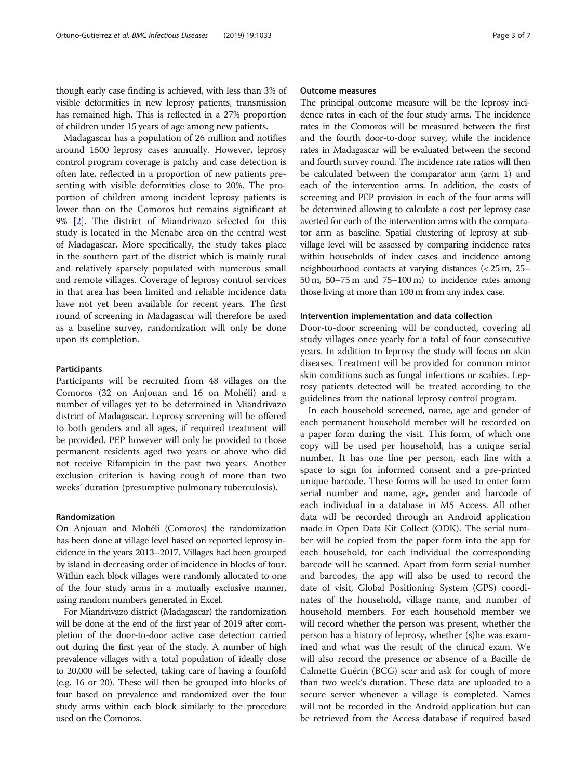though early case finding is achieved, with less than 3% of visible deformities in new leprosy patients, transmission has remained high. This is reflected in a 27% proportion of children under 15 years of age among new patients.

Madagascar has a population of 26 million and notifies around 1500 leprosy cases annually. However, leprosy control program coverage is patchy and case detection is often late, reflected in a proportion of new patients presenting with visible deformities close to 20%. The proportion of children among incident leprosy patients is lower than on the Comoros but remains significant at 9% [\[2](#page-5-0)]. The district of Miandrivazo selected for this study is located in the Menabe area on the central west of Madagascar. More specifically, the study takes place in the southern part of the district which is mainly rural and relatively sparsely populated with numerous small and remote villages. Coverage of leprosy control services in that area has been limited and reliable incidence data have not yet been available for recent years. The first round of screening in Madagascar will therefore be used as a baseline survey, randomization will only be done upon its completion.

# **Participants**

Participants will be recruited from 48 villages on the Comoros (32 on Anjouan and 16 on Mohéli) and a number of villages yet to be determined in Miandrivazo district of Madagascar. Leprosy screening will be offered to both genders and all ages, if required treatment will be provided. PEP however will only be provided to those permanent residents aged two years or above who did not receive Rifampicin in the past two years. Another exclusion criterion is having cough of more than two weeks' duration (presumptive pulmonary tuberculosis).

## Randomization

On Anjouan and Mohéli (Comoros) the randomization has been done at village level based on reported leprosy incidence in the years 2013–2017. Villages had been grouped by island in decreasing order of incidence in blocks of four. Within each block villages were randomly allocated to one of the four study arms in a mutually exclusive manner, using random numbers generated in Excel.

For Miandrivazo district (Madagascar) the randomization will be done at the end of the first year of 2019 after completion of the door-to-door active case detection carried out during the first year of the study. A number of high prevalence villages with a total population of ideally close to 20,000 will be selected, taking care of having a fourfold (e.g. 16 or 20). These will then be grouped into blocks of four based on prevalence and randomized over the four study arms within each block similarly to the procedure used on the Comoros.

# Outcome measures

The principal outcome measure will be the leprosy incidence rates in each of the four study arms. The incidence rates in the Comoros will be measured between the first and the fourth door-to-door survey, while the incidence rates in Madagascar will be evaluated between the second and fourth survey round. The incidence rate ratios will then be calculated between the comparator arm (arm 1) and each of the intervention arms. In addition, the costs of screening and PEP provision in each of the four arms will be determined allowing to calculate a cost per leprosy case averted for each of the intervention arms with the comparator arm as baseline. Spatial clustering of leprosy at subvillage level will be assessed by comparing incidence rates within households of index cases and incidence among neighbourhood contacts at varying distances (< 25 m, 25– 50 m, 50–75 m and 75–100 m) to incidence rates among those living at more than 100 m from any index case.

## Intervention implementation and data collection

Door-to-door screening will be conducted, covering all study villages once yearly for a total of four consecutive years. In addition to leprosy the study will focus on skin diseases. Treatment will be provided for common minor skin conditions such as fungal infections or scabies. Leprosy patients detected will be treated according to the guidelines from the national leprosy control program.

In each household screened, name, age and gender of each permanent household member will be recorded on a paper form during the visit. This form, of which one copy will be used per household, has a unique serial number. It has one line per person, each line with a space to sign for informed consent and a pre-printed unique barcode. These forms will be used to enter form serial number and name, age, gender and barcode of each individual in a database in MS Access. All other data will be recorded through an Android application made in Open Data Kit Collect (ODK). The serial number will be copied from the paper form into the app for each household, for each individual the corresponding barcode will be scanned. Apart from form serial number and barcodes, the app will also be used to record the date of visit, Global Positioning System (GPS) coordinates of the household, village name, and number of household members. For each household member we will record whether the person was present, whether the person has a history of leprosy, whether (s)he was examined and what was the result of the clinical exam. We will also record the presence or absence of a Bacille de Calmette Guérin (BCG) scar and ask for cough of more than two week's duration. These data are uploaded to a secure server whenever a village is completed. Names will not be recorded in the Android application but can be retrieved from the Access database if required based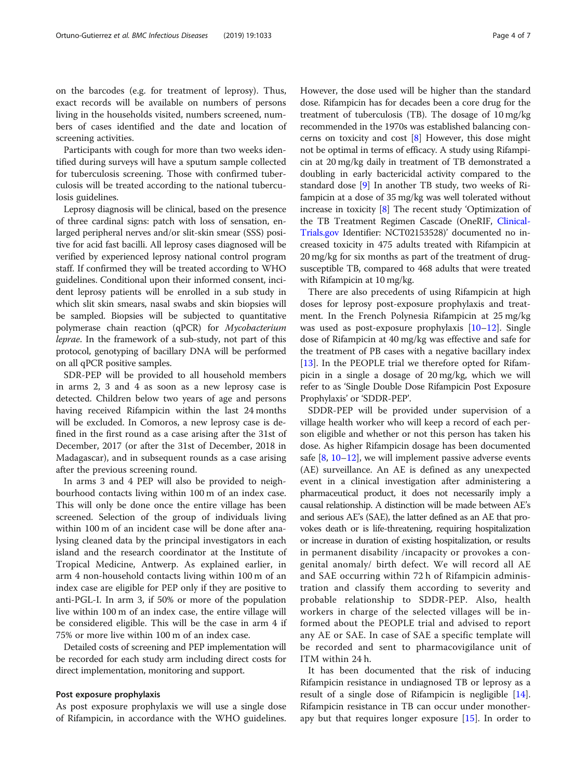on the barcodes (e.g. for treatment of leprosy). Thus, exact records will be available on numbers of persons living in the households visited, numbers screened, numbers of cases identified and the date and location of screening activities.

Participants with cough for more than two weeks identified during surveys will have a sputum sample collected for tuberculosis screening. Those with confirmed tuberculosis will be treated according to the national tuberculosis guidelines.

Leprosy diagnosis will be clinical, based on the presence of three cardinal signs: patch with loss of sensation, enlarged peripheral nerves and/or slit-skin smear (SSS) positive for acid fast bacilli. All leprosy cases diagnosed will be verified by experienced leprosy national control program staff. If confirmed they will be treated according to WHO guidelines. Conditional upon their informed consent, incident leprosy patients will be enrolled in a sub study in which slit skin smears, nasal swabs and skin biopsies will be sampled. Biopsies will be subjected to quantitative polymerase chain reaction (qPCR) for Mycobacterium leprae. In the framework of a sub-study, not part of this protocol, genotyping of bacillary DNA will be performed on all qPCR positive samples.

SDR-PEP will be provided to all household members in arms 2, 3 and 4 as soon as a new leprosy case is detected. Children below two years of age and persons having received Rifampicin within the last 24 months will be excluded. In Comoros, a new leprosy case is defined in the first round as a case arising after the 31st of December, 2017 (or after the 31st of December, 2018 in Madagascar), and in subsequent rounds as a case arising after the previous screening round.

In arms 3 and 4 PEP will also be provided to neighbourhood contacts living within 100 m of an index case. This will only be done once the entire village has been screened. Selection of the group of individuals living within 100 m of an incident case will be done after analysing cleaned data by the principal investigators in each island and the research coordinator at the Institute of Tropical Medicine, Antwerp. As explained earlier, in arm 4 non-household contacts living within 100 m of an index case are eligible for PEP only if they are positive to anti-PGL-I. In arm 3, if 50% or more of the population live within 100 m of an index case, the entire village will be considered eligible. This will be the case in arm 4 if 75% or more live within 100 m of an index case.

Detailed costs of screening and PEP implementation will be recorded for each study arm including direct costs for direct implementation, monitoring and support.

# Post exposure prophylaxis

As post exposure prophylaxis we will use a single dose of Rifampicin, in accordance with the WHO guidelines.

However, the dose used will be higher than the standard dose. Rifampicin has for decades been a core drug for the treatment of tuberculosis (TB). The dosage of 10 mg/kg recommended in the 1970s was established balancing concerns on toxicity and cost [\[8\]](#page-6-0) However, this dose might not be optimal in terms of efficacy. A study using Rifampicin at 20 mg/kg daily in treatment of TB demonstrated a doubling in early bactericidal activity compared to the standard dose [[9\]](#page-6-0) In another TB study, two weeks of Rifampicin at a dose of 35 mg/kg was well tolerated without increase in toxicity [[8\]](#page-6-0) The recent study 'Optimization of the TB Treatment Regimen Cascade (OneRIF, [Clinical-](http://clinicaltrials.gov)[Trials.gov](http://clinicaltrials.gov) Identifier: NCT02153528)' documented no increased toxicity in 475 adults treated with Rifampicin at 20 mg/kg for six months as part of the treatment of drugsusceptible TB, compared to 468 adults that were treated with Rifampicin at 10 mg/kg.

There are also precedents of using Rifampicin at high doses for leprosy post-exposure prophylaxis and treatment. In the French Polynesia Rifampicin at 25 mg/kg was used as post-exposure prophylaxis [\[10](#page-6-0)–[12\]](#page-6-0). Single dose of Rifampicin at 40 mg/kg was effective and safe for the treatment of PB cases with a negative bacillary index [[13\]](#page-6-0). In the PEOPLE trial we therefore opted for Rifampicin in a single a dosage of 20 mg/kg, which we will refer to as 'Single Double Dose Rifampicin Post Exposure Prophylaxis' or 'SDDR-PEP'.

SDDR-PEP will be provided under supervision of a village health worker who will keep a record of each person eligible and whether or not this person has taken his dose. As higher Rifampicin dosage has been documented safe  $[8, 10-12]$  $[8, 10-12]$  $[8, 10-12]$  $[8, 10-12]$  $[8, 10-12]$ , we will implement passive adverse events (AE) surveillance. An AE is defined as any unexpected event in a clinical investigation after administering a pharmaceutical product, it does not necessarily imply a causal relationship. A distinction will be made between AE's and serious AE's (SAE), the latter defined as an AE that provokes death or is life-threatening, requiring hospitalization or increase in duration of existing hospitalization, or results in permanent disability /incapacity or provokes a congenital anomaly/ birth defect. We will record all AE and SAE occurring within 72 h of Rifampicin administration and classify them according to severity and probable relationship to SDDR-PEP. Also, health workers in charge of the selected villages will be informed about the PEOPLE trial and advised to report any AE or SAE. In case of SAE a specific template will be recorded and sent to pharmacovigilance unit of ITM within 24 h.

It has been documented that the risk of inducing Rifampicin resistance in undiagnosed TB or leprosy as a result of a single dose of Rifampicin is negligible [\[14](#page-6-0)]. Rifampicin resistance in TB can occur under monotherapy but that requires longer exposure [[15\]](#page-6-0). In order to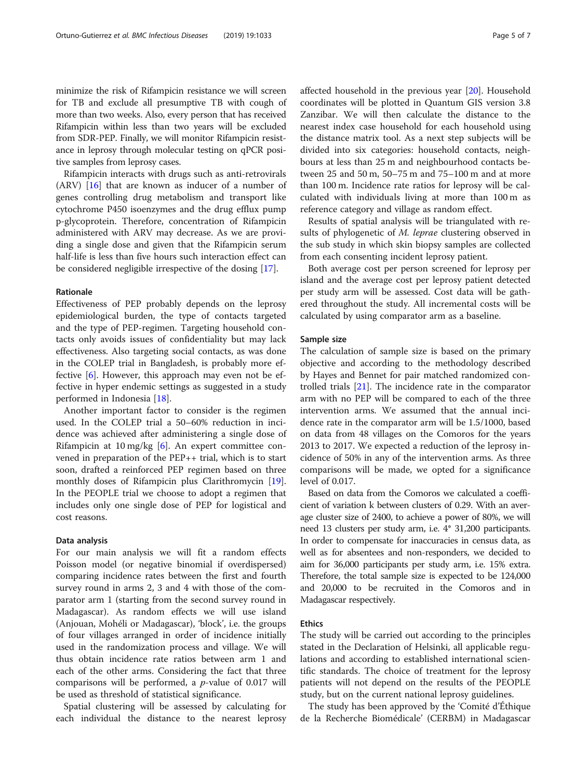minimize the risk of Rifampicin resistance we will screen for TB and exclude all presumptive TB with cough of more than two weeks. Also, every person that has received Rifampicin within less than two years will be excluded from SDR-PEP. Finally, we will monitor Rifampicin resistance in leprosy through molecular testing on qPCR positive samples from leprosy cases.

Rifampicin interacts with drugs such as anti-retrovirals (ARV) [\[16](#page-6-0)] that are known as inducer of a number of genes controlling drug metabolism and transport like cytochrome P450 isoenzymes and the drug efflux pump p-glycoprotein. Therefore, concentration of Rifampicin administered with ARV may decrease. As we are providing a single dose and given that the Rifampicin serum half-life is less than five hours such interaction effect can be considered negligible irrespective of the dosing [\[17](#page-6-0)].

# Rationale

Effectiveness of PEP probably depends on the leprosy epidemiological burden, the type of contacts targeted and the type of PEP-regimen. Targeting household contacts only avoids issues of confidentiality but may lack effectiveness. Also targeting social contacts, as was done in the COLEP trial in Bangladesh, is probably more effective [[6\]](#page-6-0). However, this approach may even not be effective in hyper endemic settings as suggested in a study performed in Indonesia [[18\]](#page-6-0).

Another important factor to consider is the regimen used. In the COLEP trial a 50–60% reduction in incidence was achieved after administering a single dose of Rifampicin at 10 mg/kg [[6\]](#page-6-0). An expert committee convened in preparation of the PEP++ trial, which is to start soon, drafted a reinforced PEP regimen based on three monthly doses of Rifampicin plus Clarithromycin [\[19](#page-6-0)]. In the PEOPLE trial we choose to adopt a regimen that includes only one single dose of PEP for logistical and cost reasons.

# Data analysis

For our main analysis we will fit a random effects Poisson model (or negative binomial if overdispersed) comparing incidence rates between the first and fourth survey round in arms 2, 3 and 4 with those of the comparator arm 1 (starting from the second survey round in Madagascar). As random effects we will use island (Anjouan, Mohéli or Madagascar), 'block', i.e. the groups of four villages arranged in order of incidence initially used in the randomization process and village. We will thus obtain incidence rate ratios between arm 1 and each of the other arms. Considering the fact that three comparisons will be performed, a  $p$ -value of 0.017 will be used as threshold of statistical significance.

Spatial clustering will be assessed by calculating for each individual the distance to the nearest leprosy affected household in the previous year [\[20](#page-6-0)]. Household coordinates will be plotted in Quantum GIS version 3.8 Zanzibar. We will then calculate the distance to the nearest index case household for each household using the distance matrix tool. As a next step subjects will be divided into six categories: household contacts, neighbours at less than 25 m and neighbourhood contacts between 25 and 50 m, 50–75 m and 75–100 m and at more than 100 m. Incidence rate ratios for leprosy will be calculated with individuals living at more than 100 m as reference category and village as random effect.

Results of spatial analysis will be triangulated with results of phylogenetic of M. leprae clustering observed in the sub study in which skin biopsy samples are collected from each consenting incident leprosy patient.

Both average cost per person screened for leprosy per island and the average cost per leprosy patient detected per study arm will be assessed. Cost data will be gathered throughout the study. All incremental costs will be calculated by using comparator arm as a baseline.

# Sample size

The calculation of sample size is based on the primary objective and according to the methodology described by Hayes and Bennet for pair matched randomized controlled trials [\[21](#page-6-0)]. The incidence rate in the comparator arm with no PEP will be compared to each of the three intervention arms. We assumed that the annual incidence rate in the comparator arm will be 1.5/1000, based on data from 48 villages on the Comoros for the years 2013 to 2017. We expected a reduction of the leprosy incidence of 50% in any of the intervention arms. As three comparisons will be made, we opted for a significance level of 0.017.

Based on data from the Comoros we calculated a coefficient of variation k between clusters of 0.29. With an average cluster size of 2400, to achieve a power of 80%, we will need 13 clusters per study arm, i.e. 4\* 31,200 participants. In order to compensate for inaccuracies in census data, as well as for absentees and non-responders, we decided to aim for 36,000 participants per study arm, i.e. 15% extra. Therefore, the total sample size is expected to be 124,000 and 20,000 to be recruited in the Comoros and in Madagascar respectively.

# Ethics

The study will be carried out according to the principles stated in the Declaration of Helsinki, all applicable regulations and according to established international scientific standards. The choice of treatment for the leprosy patients will not depend on the results of the PEOPLE study, but on the current national leprosy guidelines.

The study has been approved by the 'Comité d'Éthique de la Recherche Biomédicale' (CERBM) in Madagascar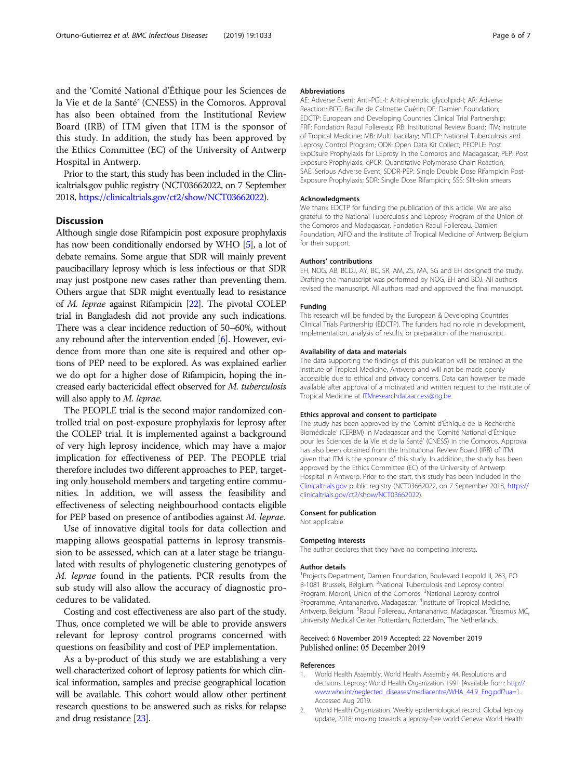<span id="page-5-0"></span>and the 'Comité National d'Éthique pour les Sciences de la Vie et de la Santé' (CNESS) in the Comoros. Approval has also been obtained from the Institutional Review Board (IRB) of ITM given that ITM is the sponsor of this study. In addition, the study has been approved by the Ethics Committee (EC) of the University of Antwerp Hospital in Antwerp.

Prior to the start, this study has been included in the Clinicaltrials.gov public registry (NCT03662022, on 7 September 2018, [https://clinicaltrials.gov/ct2/show/NCT03662022\)](https://clinicaltrials.gov/ct2/show/NCT03662022).

# **Discussion**

Although single dose Rifampicin post exposure prophylaxis has now been conditionally endorsed by WHO [\[5](#page-6-0)], a lot of debate remains. Some argue that SDR will mainly prevent paucibacillary leprosy which is less infectious or that SDR may just postpone new cases rather than preventing them. Others argue that SDR might eventually lead to resistance of M. leprae against Rifampicin [[22](#page-6-0)]. The pivotal COLEP trial in Bangladesh did not provide any such indications. There was a clear incidence reduction of 50–60%, without any rebound after the intervention ended [[6\]](#page-6-0). However, evidence from more than one site is required and other options of PEP need to be explored. As was explained earlier we do opt for a higher dose of Rifampicin, hoping the increased early bactericidal effect observed for M. tuberculosis will also apply to M. leprae.

The PEOPLE trial is the second major randomized controlled trial on post-exposure prophylaxis for leprosy after the COLEP trial. It is implemented against a background of very high leprosy incidence, which may have a major implication for effectiveness of PEP. The PEOPLE trial therefore includes two different approaches to PEP, targeting only household members and targeting entire communities. In addition, we will assess the feasibility and effectiveness of selecting neighbourhood contacts eligible for PEP based on presence of antibodies against M. leprae.

Use of innovative digital tools for data collection and mapping allows geospatial patterns in leprosy transmission to be assessed, which can at a later stage be triangulated with results of phylogenetic clustering genotypes of M. leprae found in the patients. PCR results from the sub study will also allow the accuracy of diagnostic procedures to be validated.

Costing and cost effectiveness are also part of the study. Thus, once completed we will be able to provide answers relevant for leprosy control programs concerned with questions on feasibility and cost of PEP implementation.

As a by-product of this study we are establishing a very well characterized cohort of leprosy patients for which clinical information, samples and precise geographical location will be available. This cohort would allow other pertinent research questions to be answered such as risks for relapse and drug resistance [\[23\]](#page-6-0).

#### Abbreviations

AE: Adverse Event; Anti-PGL-I: Anti-phenolic glycolipid-I; AR: Adverse Reaction; BCG: Bacille de Calmette Guérin; DF: Damien Foundation; EDCTP: European and Developing Countries Clinical Trial Partnership; FRF: Fondation Raoul Follereau; IRB: Institutional Review Board; ITM: Institute of Tropical Medicine; MB: Multi bacillary; NTLCP: National Tuberculosis and Leprosy Control Program; ODK: Open Data Kit Collect; PEOPLE: Post ExpOsure Prophylaxis for LEprosy in the Comoros and Madagascar; PEP: Post Exposure Prophylaxis; qPCR: Quantitative Polymerase Chain Reaction; SAE: Serious Adverse Event; SDDR-PEP: Single Double Dose Rifampicin Post-Exposure Prophylaxis; SDR: Single Dose Rifampicin; SSS: Slit-skin smears

#### Acknowledgments

We thank EDCTP for funding the publication of this article. We are also grateful to the National Tuberculosis and Leprosy Program of the Union of the Comoros and Madagascar, Fondation Raoul Follereau, Damien Foundation, AIFO and the Institute of Tropical Medicine of Antwerp Belgium for their support.

### Authors' contributions

EH, NOG, AB, BCDJ, AY, BC, SR, AM, ZS, MA, SG and EH designed the study. Drafting the manuscript was performed by NOG, EH and BDJ. All authors revised the manuscript. All authors read and approved the final manuscipt.

### Funding

This research will be funded by the European & Developing Countries Clinical Trials Partnership (EDCTP). The funders had no role in development, implementation, analysis of results, or preparation of the manuscript.

### Availability of data and materials

The data supporting the findings of this publication will be retained at the Institute of Tropical Medicine, Antwerp and will not be made openly accessible due to ethical and privacy concerns. Data can however be made available after approval of a motivated and written request to the Institute of Tropical Medicine at [ITMresearchdataaccess@itg.be.](mailto:ITMresearchdataaccess@itg.be)

### Ethics approval and consent to participate

The study has been approved by the 'Comité d'Éthique de la Recherche Biomédicale' (CERBM) in Madagascar and the 'Comité National d'Éthique pour les Sciences de la Vie et de la Santé' (CNESS) in the Comoros. Approval has also been obtained from the Institutional Review Board (IRB) of ITM given that ITM is the sponsor of this study. In addition, the study has been approved by the Ethics Committee (EC) of the University of Antwerp Hospital in Antwerp. Prior to the start, this study has been included in the [Clinicaltrials.gov](http://clinicaltrials.gov) public registry (NCT03662022, on 7 September 2018, [https://](https://clinicaltrials.gov/ct2/show/NCT03662022) [clinicaltrials.gov/ct2/show/NCT03662022](https://clinicaltrials.gov/ct2/show/NCT03662022)).

#### Consent for publication

Not applicable.

### Competing interests

The author declares that they have no competing interests.

### Author details

<sup>1</sup> Projects Department, Damien Foundation, Boulevard Leopold II, 263, PC B-1081 Brussels, Belgium. <sup>2</sup>National Tuberculosis and Leprosy control Program, Moroni, Union of the Comoros. <sup>3</sup>National Leprosy control Programme, Antananarivo, Madagascar. <sup>4</sup>Institute of Tropical Medicine, Antwerp, Belgium. <sup>5</sup> Raoul Follereau, Antananarivo, Madagascar. <sup>6</sup> Erasmus MC University Medical Center Rotterdam, Rotterdam, The Netherlands.

# Received: 6 November 2019 Accepted: 22 November 2019 Published online: 05 December 2019

### References

- 1. World Health Assembly. World Health Assembly 44. Resolutions and decisions. Leprosy: World Health Organization 1991 [Available from: [http://](http://www.who.int/neglected_diseases/mediacentre/WHA_44.9_Eng.pdf?ua=1) [www.who.int/neglected\\_diseases/mediacentre/WHA\\_44.9\\_Eng.pdf?ua=1.](http://www.who.int/neglected_diseases/mediacentre/WHA_44.9_Eng.pdf?ua=1) Accessed Aug 2019.
- 2. World Health Organization. Weekly epidemiological record. Global leprosy update, 2018: moving towards a leprosy-free world Geneva: World Health